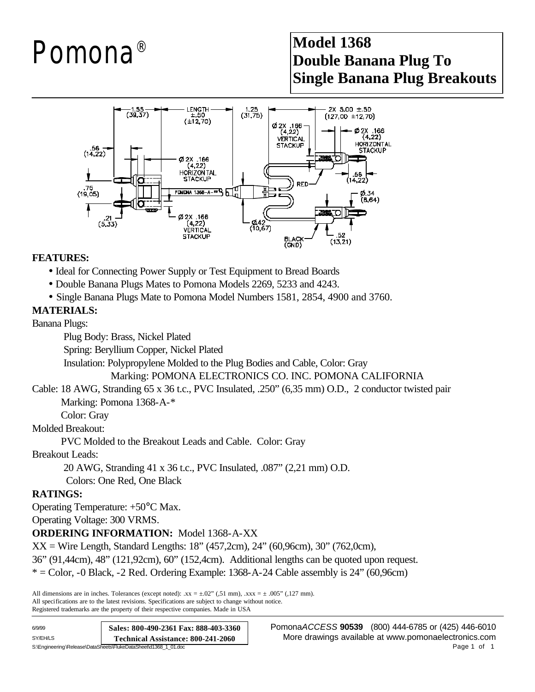# Pomona®

### **Model 1368 Double Banana Plug To Single Banana Plug Breakouts**



#### **FEATURES:**

- Ideal for Connecting Power Supply or Test Equipment to Bread Boards
- Double Banana Plugs Mates to Pomona Models 2269, 5233 and 4243.
- **·** Single Banana Plugs Mate to Pomona Model Numbers 1581, 2854, 4900 and 3760.

#### **MATERIALS:**

Banana Plugs:

Plug Body: Brass, Nickel Plated

Spring: Beryllium Copper, Nickel Plated

Insulation: Polypropylene Molded to the Plug Bodies and Cable, Color: Gray

Marking: POMONA ELECTRONICS CO. INC. POMONA CALIFORNIA

Cable: 18 AWG, Stranding 65 x 36 t.c., PVC Insulated, .250" (6,35 mm) O.D., 2 conductor twisted pair Marking: Pomona 1368-A-\*

Color: Gray

Molded Breakout:

PVC Molded to the Breakout Leads and Cable. Color: Gray

Breakout Leads:

20 AWG, Stranding 41 x 36 t.c., PVC Insulated, .087" (2,21 mm) O.D.

Colors: One Red, One Black

#### **RATINGS:**

Operating Temperature: +50°C Max.

Operating Voltage: 300 VRMS.

**ORDERING INFORMATION:** Model 1368-A-XX

 $XX =$  Wire Length, Standard Lengths: 18" (457,2cm), 24" (60,96cm), 30" (762,0cm),

36" (91,44cm), 48" (121,92cm), 60" (152,4cm). Additional lengths can be quoted upon request.

 $* =$  Color,  $-0$  Black,  $-2$  Red. Ordering Example: 1368-A $-24$  Cable assembly is 24" (60,96cm)

All dimensions are in inches. Tolerances (except noted):  $xx = \pm .02$ " (,51 mm),  $xxx = \pm .005$ " (,127 mm). All specifications are to the latest revisions. Specifications are subject to change without notice. Registered trademarks are the property of their respective companies. Made in USA

| 6/9/99                                                          | Sales: 800-490-2361 Fax: 888-403-3360 |
|-----------------------------------------------------------------|---------------------------------------|
| SY/EH/LS                                                        | Technical Assistance: 800-241-2060    |
| S:\Engineering\Release\DataSheets\FlukeDataSheet\d1368 1 01.doc |                                       |